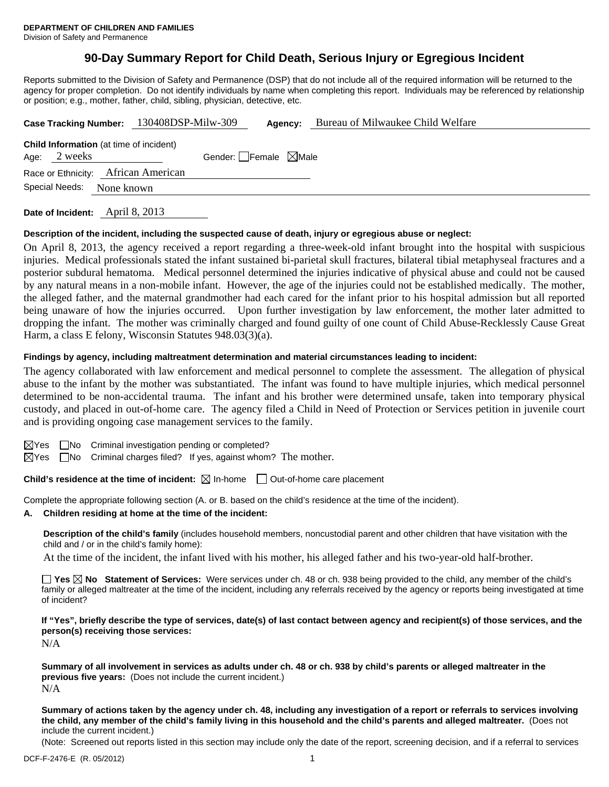## **90-Day Summary Report for Child Death, Serious Injury or Egregious Incident**

Reports submitted to the Division of Safety and Permanence (DSP) that do not include all of the required information will be returned to the agency for proper completion. Do not identify individuals by name when completing this report. Individuals may be referenced by relationship or position; e.g., mother, father, child, sibling, physician, detective, etc.

| Case Tracking Number: 130408DSP-Milw-309 |                                                                |  | Agency:                         | Bureau of Milwaukee Child Welfare |  |  |  |  |
|------------------------------------------|----------------------------------------------------------------|--|---------------------------------|-----------------------------------|--|--|--|--|
|                                          | <b>Child Information</b> (at time of incident)<br>Age: 2 weeks |  | Gender: Female $\boxtimes$ Male |                                   |  |  |  |  |
| Race or Ethnicity: African American      |                                                                |  |                                 |                                   |  |  |  |  |
| Special Needs:<br>None known             |                                                                |  |                                 |                                   |  |  |  |  |
|                                          |                                                                |  |                                 |                                   |  |  |  |  |

**Date of Incident:** April 8, 2013

#### **Description of the incident, including the suspected cause of death, injury or egregious abuse or neglect:**

On April 8, 2013, the agency received a report regarding a three-week-old infant brought into the hospital with suspicious injuries. Medical professionals stated the infant sustained bi-parietal skull fractures, bilateral tibial metaphyseal fractures and a posterior subdural hematoma. Medical personnel determined the injuries indicative of physical abuse and could not be caused by any natural means in a non-mobile infant. However, the age of the injuries could not be established medically. The mother, the alleged father, and the maternal grandmother had each cared for the infant prior to his hospital admission but all reported being unaware of how the injuries occurred. Upon further investigation by law enforcement, the mother later admitted to dropping the infant. The mother was criminally charged and found guilty of one count of Child Abuse-Recklessly Cause Great Harm, a class E felony, Wisconsin Statutes 948.03(3)(a).

#### **Findings by agency, including maltreatment determination and material circumstances leading to incident:**

The agency collaborated with law enforcement and medical personnel to complete the assessment. The allegation of physical abuse to the infant by the mother was substantiated. The infant was found to have multiple injuries, which medical personnel determined to be non-accidental trauma. The infant and his brother were determined unsafe, taken into temporary physical custody, and placed in out-of-home care. The agency filed a Child in Need of Protection or Services petition in juvenile court and is providing ongoing case management services to the family.

- $\boxtimes$ Yes  $\Box$ No Criminal investigation pending or completed?
- $\boxtimes$ Yes  $\Box$ No Criminal charges filed? If yes, against whom? The mother.

**Child's residence at the time of incident:**  $\boxtimes$  In-home  $\Box$  Out-of-home care placement

Complete the appropriate following section (A. or B. based on the child's residence at the time of the incident).

#### **A. Children residing at home at the time of the incident:**

**Description of the child's family** (includes household members, noncustodial parent and other children that have visitation with the child and / or in the child's family home):

At the time of the incident, the infant lived with his mother, his alleged father and his two-year-old half-brother.

**Yes No Statement of Services:** Were services under ch. 48 or ch. 938 being provided to the child, any member of the child's family or alleged maltreater at the time of the incident, including any referrals received by the agency or reports being investigated at time of incident?

**If "Yes", briefly describe the type of services, date(s) of last contact between agency and recipient(s) of those services, and the person(s) receiving those services:** 

N/A

**Summary of all involvement in services as adults under ch. 48 or ch. 938 by child's parents or alleged maltreater in the previous five years:** (Does not include the current incident.) N/A

**Summary of actions taken by the agency under ch. 48, including any investigation of a report or referrals to services involving the child, any member of the child's family living in this household and the child's parents and alleged maltreater.** (Does not include the current incident.)

(Note: Screened out reports listed in this section may include only the date of the report, screening decision, and if a referral to services